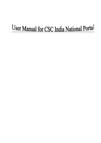# User Manual for CSC India National Portal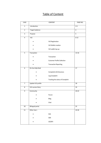## Table of Content

| S.NO                    |                          | CONTENT                            | PAGE NO.                |
|-------------------------|--------------------------|------------------------------------|-------------------------|
| $\mathbf{1}$            | Introduction             |                                    | $2 - 3$                 |
| $\overline{2}$          | <b>Target Audience</b>   |                                    | $\overline{\mathbf{4}}$ |
| $\overline{\mathbf{3}}$ | Purpose                  |                                    | 5                       |
| $\overline{\mathbf{4}}$ | VLE                      |                                    | $6 - 12$                |
|                         |                          | <b>VLE Registration</b>            |                         |
|                         |                          | <b>VLE Wallet creation</b>         |                         |
|                         |                          | VLE wallet top-up                  |                         |
| $\overline{5}$          | Transaction              |                                    | $13 - 16$               |
|                         |                          | Transaction                        |                         |
|                         |                          | <b>Customer Profile Collection</b> |                         |
|                         |                          | <b>Transaction Reporting</b>       |                         |
| $\overline{6}$          | On-line Help Desk        |                                    | 17                      |
|                         |                          | Complaints & Grievances            |                         |
|                         |                          | Log Complaint                      |                         |
|                         |                          | Tracking the status of Complaint   |                         |
| $\overline{7}$          | Update VLE profile       |                                    | 18                      |
| 8                       | <b>VLE success Story</b> |                                    | 19                      |
| 9                       | Community                |                                    | $20 - 22$               |
|                         |                          | Forum                              |                         |
|                         |                          | Blog                               |                         |
|                         |                          | Chat                               |                         |
| $10\,$                  | <b>Bilingual portal</b>  |                                    | 23                      |
| $11\,$                  | Other User:-             |                                    | 24-26                   |
|                         |                          | $\sf SCA$                          |                         |
|                         |                          | SDA                                |                         |
|                         |                          | <b>CSCSPV</b>                      |                         |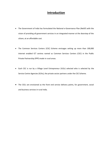## **Introduction**

- The Government of India has formulated the National e-Governance Plan (NeGP) with the vision of providing all government services in an integrated manner at the doorstep of the citizen, at an affordable cost.
- The Common Services Centers (CSC) Scheme envisages setting up more than 100,000 internet enabled ICT centres named as Common Services Centers (CSC) in the Public Private Partnership (PPP) mode in rural areas.
- Each CSC is run by a Village Level Entrepreneur (VLEs) selected who is selected by the Service Centre Agencies (SCAs), the private sector partners under the CSC Scheme.
- The CSCs are envisioned as the front end service delivery points, for government, social and business services in rural India.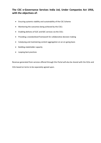## **The CSC e-Governance Services India Ltd, Under Companies Act 1956, with the objectives of:**

- Ensuring systemic viability and sustainability of the CSC Scheme
- Monitoring the outcomes being achieved by the CSCs
- Enabling delivery of G2C and B2C services via the CSCs
- Providing a standardized framework for collaborative decision making
- Catalysing and maintaining content aggregation on an on-going basis
- Building stakeholder capacity
- Looping best practices

Revenue generated from services offered through this Portal will also be shared with the SCAs and VLEs based on terms to be separately agreed upon.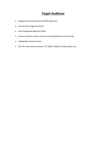# **Target Audience**

- Village Level Entrepreneur (VLE)/CSC Operators
- Service Center Agencies (SCAs)
- State Designated Agencies (SDAs)
- Service Providers, whose services are being delivered via the Portal.
- Independent Content writer
- CSC SPV Team and its partners- DIT, BSNL, DOEACC Society, Banks, etc.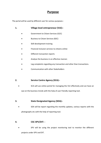## **Purpose**

The portal will be used by different user for various purposes:-

| Village level entrepreneur (VLE):- |
|------------------------------------|
|                                    |

- Government to Citizen Services (G2C)
- Business to Citizen Services (B2C)
- Skill development training
- Financial inclusion services to citizens online
- Different transaction reports
- Analyse the business in an effective manner.
- Log complaints regarding any transaction and other than transactions.
- Communication with other Stakeholders

### **2. Service Centre Agency (SCA):-**

 SCA will use online portal for managing the VLE effectively and can have an eye on the business trends with the help of user friendly reporting tool.

## **3. State Designated Agency (SDA):-**

 SDA will be report regarding the monthly updates, various reports with the photographs etc with the help of reporting tool.

### **4. CSC-SPV/DIT: -**

 SPV will be using the project monitoring tool to monitor the different projects under SPV and DIT.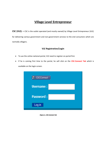# **Village Level Entrepreneur**

**CSC (VLE): –** CSC is the outlet operated (and mostly owned) by Village Level Entrepreneur (VLE) for delivering various government and non-government services to the end consumers which are normally villagers.

#### **VLE Registration/Login**

- To use the online national portal, VLE need to register on portal first.
- If he is coming first time to the portal, he will click on the **CSC-Connect Tab** which is available on the login screen.



 **Figure 1:- CSC Connect Tab**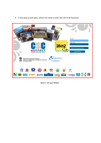

A new pop up will open, where VLE need to enter the CSC ID & Password.

 **Figure 2:- VLE Log-in Window**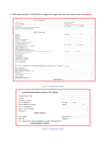After authentication, VLE will land on registration page and enter the required data and **submit.**

| <b>VLE Detail</b>                                                         |                                             |
|---------------------------------------------------------------------------|---------------------------------------------|
| CSC ID:                                                                   | TR010400301                                 |
| <b>VLE Name:</b>                                                          | <b>Ranjit Das</b>                           |
| CSC Name:                                                                 | Dakshin Bagma GP Office                     |
| Gender:                                                                   | $\odot$ Male<br>$\odot$ Female              |
| Last Educational Qualification:                                           |                                             |
| Father/Husband Name:                                                      |                                             |
|                                                                           |                                             |
| <b>CSC Detail</b>                                                         |                                             |
| <b>State</b>                                                              | Select<br>- "                               |
| District:                                                                 |                                             |
| Block:                                                                    |                                             |
| Tehsil:                                                                   |                                             |
| Gram Panchayat:                                                           |                                             |
| <b>CSC Location::</b>                                                     |                                             |
| Village Census Code:                                                      |                                             |
| Village Population:                                                       |                                             |
| Type Of Area:                                                             | $\odot$ Rural<br><b>Urban</b>               |
| Operating Village Name::                                                  |                                             |
| CSC Address                                                               |                                             |
| Shop/House No.                                                            |                                             |
| CSC Address(cont.)                                                        |                                             |
| Gali/Muhalla/Sector etc.<br>Is CSC Located in the Grampanchayat location: | $\odot$ No<br>$\bullet$ $\bullet$ $\bullet$ |
| Nearest City/Town:                                                        |                                             |
| Post Office:                                                              |                                             |
| Pin Code:                                                                 |                                             |
| Landmark                                                                  |                                             |
| <b>Landline Number</b>                                                    |                                             |
| $(STD Code + Phone)$                                                      |                                             |
| Mobile Number                                                             |                                             |
| Email address:                                                            |                                             |
| Alt. Email ID                                                             |                                             |
|                                                                           |                                             |
| Is CSC address and Residential address is same?                           | $\blacksquare$ Yes                          |
| <b>Res Address</b>                                                        |                                             |
| Shop/House No.                                                            |                                             |
| Res Address(cont.)<br>Gali/Muhalla/Sector etc.                            |                                             |
| District:                                                                 |                                             |
| Nearest City/Town:                                                        |                                             |
| Post Office:                                                              |                                             |
| Pin Code:                                                                 |                                             |
| <b>Landline Number</b>                                                    |                                             |
| (STD Code + Phone)                                                        |                                             |
| <b>Next Page</b>                                                          |                                             |

#### **Figure 3:- VLE Registration Page 1**

| Connectivity Type:     |                             |  |
|------------------------|-----------------------------|--|
| Speed:                 |                             |  |
| Monthly Charge:        |                             |  |
| Power Backup:          | $\bullet$ Yes<br>$\odot$ No |  |
| Power Backup in hours: | Select                      |  |
| No of computers:       |                             |  |
| Space In CSC Outlet:   |                             |  |
| Employee:              |                             |  |
| <b>OMT DATA</b>        |                             |  |
| SCA Name:              | <b>Basix India</b>          |  |
| SCA ID:                | <b>SCA025</b>               |  |

**Figure 4:- VLE Registration Page 2**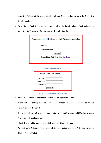- Once the VLE submit the detail, he will receive an Email and SMS to verify the Email ID & Mobile number.
- To Verify the Email ID and mobile number, click on the link given in the Email and need to enter the OMT ID and Verification password, received on SMS.

| Please enter your CSC ID and the SMS Activation code below: |
|-------------------------------------------------------------|
| CSC ID:                                                     |
| <b>Activation Code:</b>                                     |
| Activate!                                                   |
| <b>Resend Your Activation Code Click Here</b>               |
|                                                             |
| <b>Figure 5:- Activation Window</b>                         |

|            | <b>Please Enter Your Details:</b> |  |
|------------|-----------------------------------|--|
| CSC ID:    |                                   |  |
| Email ID:  |                                   |  |
| Mobile No: |                                   |  |
|            | Activate!                         |  |

**Figure 6:- Re-generation of Activation Code**

- Once VLE enter the correct detail, The VLE will be registered on portal.
- If VLE will not verifying the Email and Mobile number, VLE account will be blocked and cannot log-in in the portal
- In the case where SMS is not received by VLE, he can get the Email and SMS after entering the email and mobile number.
- Email ID and mobile number is verified, account will be activated.
- To start using E-Commerce services and start transacting the same, VLE need to create his/her Prepaid Wallet.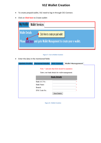# **VLE Wallet Creation**

- To create prepaid wallet, VLE need to log-in through CSC-Connect.
- Click on **Click here** to Create wallet-

| <b>My Profile</b><br><b>Wallet Services</b>                                                                                          |  |
|--------------------------------------------------------------------------------------------------------------------------------------|--|
| <b>Wallet Details</b><br>Click Here to create pre paid wallet<br>Pleasedick here and goto Wallet Management to create your e-wallet. |  |

**Figure 7:- Go to Wallet Creation**

• Enter the data in the mentioned fields

| <b>Update Profile</b> | <b>Personal Details</b> | <b>VLE Corner</b>                                                                                  | <b>Wallet Management</b> |  |
|-----------------------|-------------------------|----------------------------------------------------------------------------------------------------|--------------------------|--|
|                       |                         | Note: * indicates that field should be mandatory<br>Enter your bank details for wallet management. |                          |  |
|                       |                         | <b>Bank Details</b>                                                                                |                          |  |
|                       | Bank A/C No.:           |                                                                                                    |                          |  |
|                       | Bank Name:              |                                                                                                    |                          |  |
|                       | Branch:                 |                                                                                                    |                          |  |
|                       | IFSC Code No:           |                                                                                                    |                          |  |
|                       |                         | Save Details                                                                                       |                          |  |

**Figure 8:- Wallet Creation**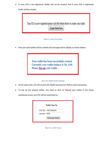In case, SCA is not registered, Wallet will not be created. And In case, SCA is registered, wallet will be created.



**Figure 9:- Create Your Wallet**

Once pre-paid wallet will be created and message will be display as shown below:-

Your wallet has been successfully created. Currently your wallet balance is: Rs. 0.00. Please Top-up your wallet.

#### **Figure 10:- Wallet Creation Message**

- At the same time, VLE will receive the Wallet password on SMS to start transaction.
- To top up the prepaid wallet, VLE need to click on **Top-up** your wallet in the above mentioned screen and VLE will be redirected to:-

|              | <b>Wallet Top-Up</b>   |
|--------------|------------------------|
|              | CSC ID: TR010400301    |
| Amount: 5000 |                        |
|              | <b>Recharge Wallet</b> |

**Figure 11:- wallet Top-up**